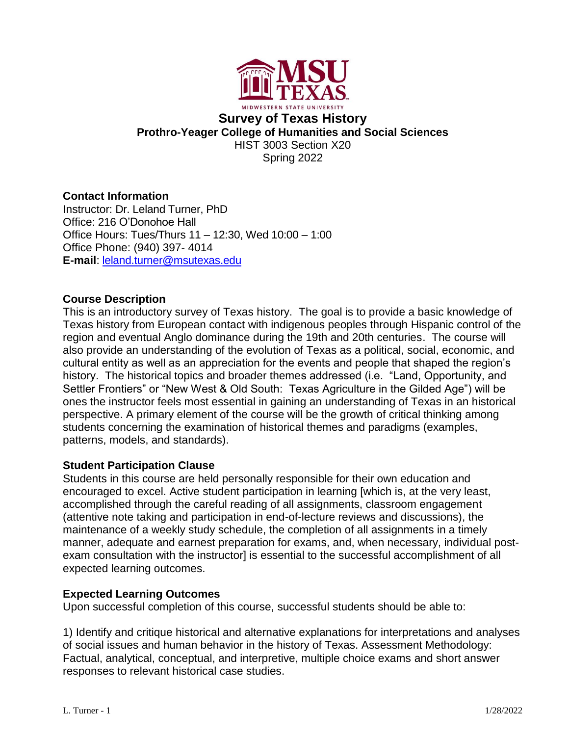

# **Survey of Texas History Prothro-Yeager College of Humanities and Social Sciences** HIST 3003 Section X20 Spring 2022

# **Contact Information**

Instructor: Dr. Leland Turner, PhD Office: 216 O'Donohoe Hall Office Hours: Tues/Thurs 11 – 12:30, Wed 10:00 – 1:00 Office Phone: (940) 397- 4014 **E-mail**: [leland.turner@msutexas.edu](mailto:leland.turner@msutexas.edu)

# **Course Description**

This is an introductory survey of Texas history. The goal is to provide a basic knowledge of Texas history from European contact with indigenous peoples through Hispanic control of the region and eventual Anglo dominance during the 19th and 20th centuries. The course will also provide an understanding of the evolution of Texas as a political, social, economic, and cultural entity as well as an appreciation for the events and people that shaped the region's history. The historical topics and broader themes addressed (i.e. "Land, Opportunity, and Settler Frontiers" or "New West & Old South: Texas Agriculture in the Gilded Age") will be ones the instructor feels most essential in gaining an understanding of Texas in an historical perspective. A primary element of the course will be the growth of critical thinking among students concerning the examination of historical themes and paradigms (examples, patterns, models, and standards).

### **Student Participation Clause**

Students in this course are held personally responsible for their own education and encouraged to excel. Active student participation in learning [which is, at the very least, accomplished through the careful reading of all assignments, classroom engagement (attentive note taking and participation in end-of-lecture reviews and discussions), the maintenance of a weekly study schedule, the completion of all assignments in a timely manner, adequate and earnest preparation for exams, and, when necessary, individual postexam consultation with the instructor] is essential to the successful accomplishment of all expected learning outcomes.

# **Expected Learning Outcomes**

Upon successful completion of this course, successful students should be able to:

1) Identify and critique historical and alternative explanations for interpretations and analyses of social issues and human behavior in the history of Texas. Assessment Methodology: Factual, analytical, conceptual, and interpretive, multiple choice exams and short answer responses to relevant historical case studies.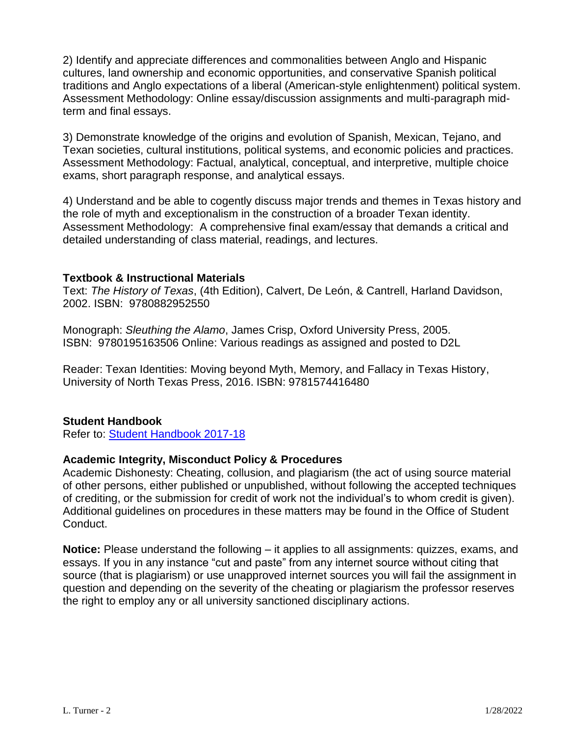2) Identify and appreciate differences and commonalities between Anglo and Hispanic cultures, land ownership and economic opportunities, and conservative Spanish political traditions and Anglo expectations of a liberal (American-style enlightenment) political system. Assessment Methodology: Online essay/discussion assignments and multi-paragraph midterm and final essays.

3) Demonstrate knowledge of the origins and evolution of Spanish, Mexican, Tejano, and Texan societies, cultural institutions, political systems, and economic policies and practices. Assessment Methodology: Factual, analytical, conceptual, and interpretive, multiple choice exams, short paragraph response, and analytical essays.

4) Understand and be able to cogently discuss major trends and themes in Texas history and the role of myth and exceptionalism in the construction of a broader Texan identity. Assessment Methodology: A comprehensive final exam/essay that demands a critical and detailed understanding of class material, readings, and lectures.

#### **Textbook & Instructional Materials**

Text: *The History of Texas*, (4th Edition), Calvert, De León, & Cantrell, Harland Davidson, 2002. ISBN: 9780882952550

Monograph: *Sleuthing the Alamo*, James Crisp, Oxford University Press, 2005. ISBN: 9780195163506 Online: Various readings as assigned and posted to D2L

Reader: Texan Identities: Moving beyond Myth, Memory, and Fallacy in Texas History, University of North Texas Press, 2016. ISBN: 9781574416480

### **Student Handbook**

Refer to: [Student Handbook 2017-18](https://mwsu.edu/Assets/documents/student-life/student-handbook-2017-18.pdf)

### **Academic Integrity, Misconduct Policy & Procedures**

Academic Dishonesty: Cheating, collusion, and plagiarism (the act of using source material of other persons, either published or unpublished, without following the accepted techniques of crediting, or the submission for credit of work not the individual's to whom credit is given). Additional guidelines on procedures in these matters may be found in the Office of Student Conduct.

**Notice:** Please understand the following – it applies to all assignments: quizzes, exams, and essays. If you in any instance "cut and paste" from any internet source without citing that source (that is plagiarism) or use unapproved internet sources you will fail the assignment in question and depending on the severity of the cheating or plagiarism the professor reserves the right to employ any or all university sanctioned disciplinary actions.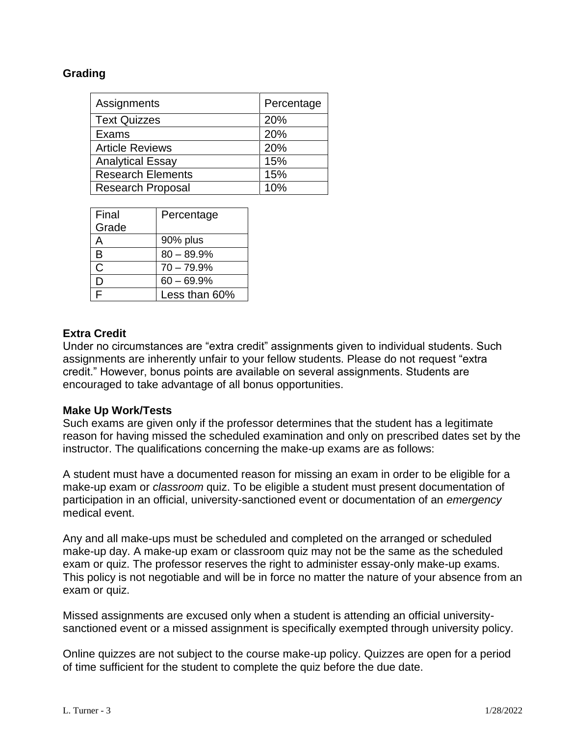### **Grading**

| Assignments              | Percentage |
|--------------------------|------------|
| <b>Text Quizzes</b>      | 20%        |
| Exams                    | 20%        |
| <b>Article Reviews</b>   | 20%        |
| <b>Analytical Essay</b>  | 15%        |
| <b>Research Elements</b> | 15%        |
| <b>Research Proposal</b> | 10%        |

| Final | Percentage    |
|-------|---------------|
| Grade |               |
|       | 90% plus      |
| R     | $80 - 89.9%$  |
| C     | $70 - 79.9%$  |
|       | $60 - 69.9%$  |
|       | Less than 60% |

## **Extra Credit**

Under no circumstances are "extra credit" assignments given to individual students. Such assignments are inherently unfair to your fellow students. Please do not request "extra credit." However, bonus points are available on several assignments. Students are encouraged to take advantage of all bonus opportunities.

### **Make Up Work/Tests**

Such exams are given only if the professor determines that the student has a legitimate reason for having missed the scheduled examination and only on prescribed dates set by the instructor. The qualifications concerning the make-up exams are as follows:

A student must have a documented reason for missing an exam in order to be eligible for a make-up exam or *classroom* quiz. To be eligible a student must present documentation of participation in an official, university-sanctioned event or documentation of an *emergency*  medical event.

Any and all make-ups must be scheduled and completed on the arranged or scheduled make-up day. A make-up exam or classroom quiz may not be the same as the scheduled exam or quiz. The professor reserves the right to administer essay-only make-up exams. This policy is not negotiable and will be in force no matter the nature of your absence from an exam or quiz.

Missed assignments are excused only when a student is attending an official universitysanctioned event or a missed assignment is specifically exempted through university policy.

Online quizzes are not subject to the course make-up policy. Quizzes are open for a period of time sufficient for the student to complete the quiz before the due date.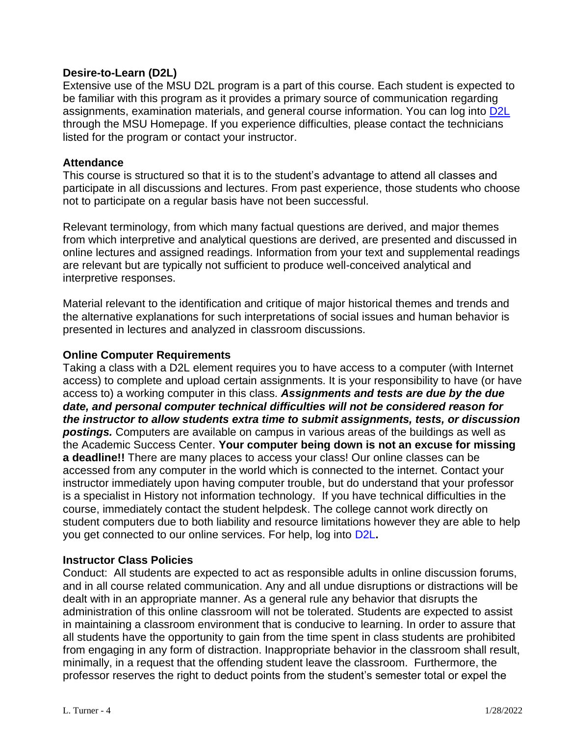## **Desire-to-Learn (D2L)**

Extensive use of the MSU D2L program is a part of this course. Each student is expected to be familiar with this program as it provides a primary source of communication regarding assignments, examination materials, and general course information. You can log into [D2L](https://d2l.mwsu.edu/) through the MSU Homepage. If you experience difficulties, please contact the technicians listed for the program or contact your instructor.

#### **Attendance**

This course is structured so that it is to the student's advantage to attend all classes and participate in all discussions and lectures. From past experience, those students who choose not to participate on a regular basis have not been successful.

Relevant terminology, from which many factual questions are derived, and major themes from which interpretive and analytical questions are derived, are presented and discussed in online lectures and assigned readings. Information from your text and supplemental readings are relevant but are typically not sufficient to produce well-conceived analytical and interpretive responses.

Material relevant to the identification and critique of major historical themes and trends and the alternative explanations for such interpretations of social issues and human behavior is presented in lectures and analyzed in classroom discussions.

### **Online Computer Requirements**

Taking a class with a D2L element requires you to have access to a computer (with Internet access) to complete and upload certain assignments. It is your responsibility to have (or have access to) a working computer in this class. *Assignments and tests are due by the due date, and personal computer technical difficulties will not be considered reason for the instructor to allow students extra time to submit assignments, tests, or discussion postings.* Computers are available on campus in various areas of the buildings as well as the Academic Success Center. **Your computer being down is not an excuse for missing a deadline!!** There are many places to access your class! Our online classes can be accessed from any computer in the world which is connected to the internet. Contact your instructor immediately upon having computer trouble, but do understand that your professor is a specialist in History not information technology. If you have technical difficulties in the course, immediately contact the student helpdesk. The college cannot work directly on student computers due to both liability and resource limitations however they are able to help you get connected to our online services. For help, log into [D2L](https://d2l.mwsu.edu/)**.**

### **Instructor Class Policies**

Conduct: All students are expected to act as responsible adults in online discussion forums, and in all course related communication. Any and all undue disruptions or distractions will be dealt with in an appropriate manner. As a general rule any behavior that disrupts the administration of this online classroom will not be tolerated. Students are expected to assist in maintaining a classroom environment that is conducive to learning. In order to assure that all students have the opportunity to gain from the time spent in class students are prohibited from engaging in any form of distraction. Inappropriate behavior in the classroom shall result, minimally, in a request that the offending student leave the classroom. Furthermore, the professor reserves the right to deduct points from the student's semester total or expel the